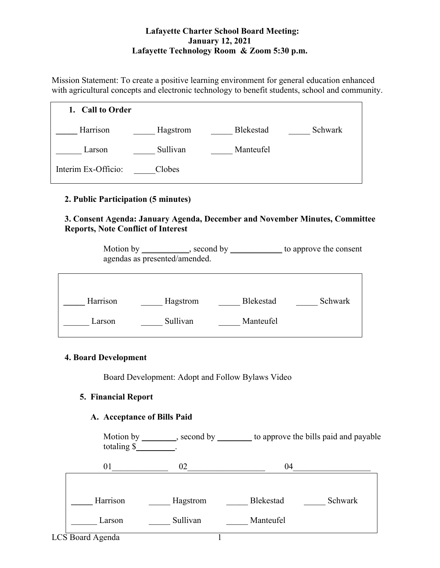### **Lafayette Charter School Board Meeting: January 12, 2021 Lafayette Technology Room & Zoom 5:30 p.m.**

Mission Statement: To create a positive learning environment for general education enhanced with agricultural concepts and electronic technology to benefit students, school and community.



# **2. Public Participation (5 minutes)**

# **3. Consent Agenda: January Agenda, December and November Minutes, Committee Reports, Note Conflict of Interest**

Motion by \_\_\_\_\_\_\_\_\_, second by \_\_\_\_\_\_\_\_\_\_ to approve the consent agendas as presented/amended.

| Harrison | Hagstrom | Blekestad | Schwark |
|----------|----------|-----------|---------|
| Larson   | Sullivan | Manteufel |         |

# **4. Board Development**

Board Development: Adopt and Follow Bylaws Video

# **5. Financial Report**

# **A. Acceptance of Bills Paid**

Motion by \_\_\_\_\_\_\_\_, second by \_\_\_\_\_\_\_\_ to approve the bills paid and payable totaling \$\_\_\_\_\_\_\_\_\_.

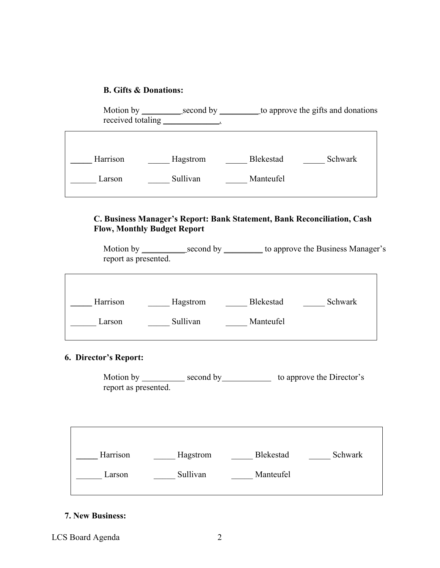#### **B. Gifts & Donations:**

| Motion by<br>received totaling | second by _ |                  | to approve the gifts and donations |
|--------------------------------|-------------|------------------|------------------------------------|
| Harrison                       | Hagstrom    | <b>Blekestad</b> | Schwark                            |
| Larson                         | Sullivan    | Manteufel        |                                    |

# **C. Business Manager's Report: Bank Statement, Bank Reconciliation, Cash Flow, Monthly Budget Report**

| Motion by            | second by | to approve the Business Manager's |
|----------------------|-----------|-----------------------------------|
| report as presented. |           |                                   |

 $\overline{\phantom{0}}$ 

| Harrison | Hagstrom | Blekestad | Schwark |
|----------|----------|-----------|---------|
| Larson   | Sullivan | Manteufel |         |

# **6. Director's Report:**

Motion by \_\_\_\_\_\_\_\_\_\_\_ second by \_\_\_\_\_\_\_\_\_\_\_\_ to approve the Director's report as presented.

| Harrison | Hagstrom | <b>Blekestad</b> | Schwark |
|----------|----------|------------------|---------|
| Larson   | Sullivan | Manteufel        |         |
|          |          |                  |         |

### **7. New Business:**

LCS Board Agenda 2